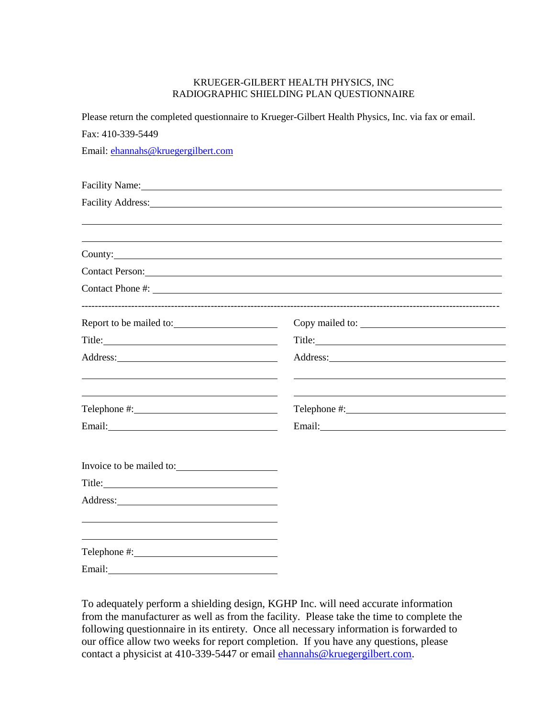## KRUEGER-GILBERT HEALTH PHYSICS, INC RADIOGRAPHIC SHIELDING PLAN QUESTIONNAIRE

|                                    | Please return the completed questionnaire to Krueger-Gilbert Health Physics, Inc. via fax or email.                                                                                                                                |
|------------------------------------|------------------------------------------------------------------------------------------------------------------------------------------------------------------------------------------------------------------------------------|
| Fax: 410-339-5449                  |                                                                                                                                                                                                                                    |
| Email: ehannahs@kruegergilbert.com |                                                                                                                                                                                                                                    |
|                                    |                                                                                                                                                                                                                                    |
|                                    | Facility Name: 1988                                                                                                                                                                                                                |
|                                    |                                                                                                                                                                                                                                    |
|                                    |                                                                                                                                                                                                                                    |
|                                    | County:                                                                                                                                                                                                                            |
|                                    | Contact Person: Note and the contract of the contract of the contract of the contract of the contract of the contract of the contract of the contract of the contract of the contract of the contract of the contract of the c     |
|                                    |                                                                                                                                                                                                                                    |
| Report to be mailed to:            |                                                                                                                                                                                                                                    |
|                                    |                                                                                                                                                                                                                                    |
| Address: No. 1998. Address:        | Address: <u>Note</u> 2008. The second state of the second state of the second state of the second state of the second state of the second state of the second state of the second state of the second state of the second state of |
|                                    |                                                                                                                                                                                                                                    |
|                                    |                                                                                                                                                                                                                                    |
|                                    | Email: Email:                                                                                                                                                                                                                      |
|                                    |                                                                                                                                                                                                                                    |
| Invoice to be mailed to:           |                                                                                                                                                                                                                                    |
|                                    |                                                                                                                                                                                                                                    |
|                                    |                                                                                                                                                                                                                                    |
|                                    |                                                                                                                                                                                                                                    |
|                                    |                                                                                                                                                                                                                                    |
| Email:                             |                                                                                                                                                                                                                                    |

To adequately perform a shielding design, KGHP Inc. will need accurate information from the manufacturer as well as from the facility. Please take the time to complete the following questionnaire in its entirety. Once all necessary information is forwarded to our office allow two weeks for report completion. If you have any questions, please contact a physicist at 410-339-5447 or email [ehannahs@kruegergilbert.com.](mailto:ehannahs@kruegergilbert.com)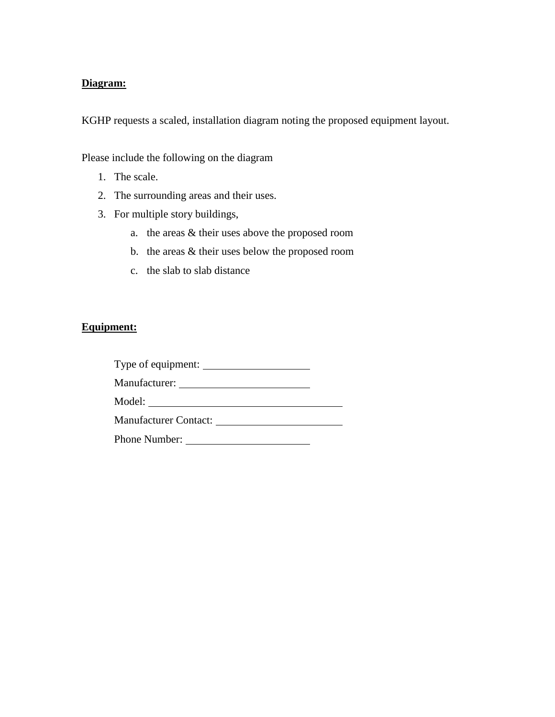## **Diagram:**

KGHP requests a scaled, installation diagram noting the proposed equipment layout.

Please include the following on the diagram

- 1. The scale.
- 2. The surrounding areas and their uses.
- 3. For multiple story buildings,
	- a. the areas & their uses above the proposed room
	- b. the areas & their uses below the proposed room
	- c. the slab to slab distance

## **Equipment:**

| Type of equipment:           |  |  |
|------------------------------|--|--|
| Manufacturer:                |  |  |
| Model:                       |  |  |
| <b>Manufacturer Contact:</b> |  |  |
| <b>Phone Number:</b>         |  |  |